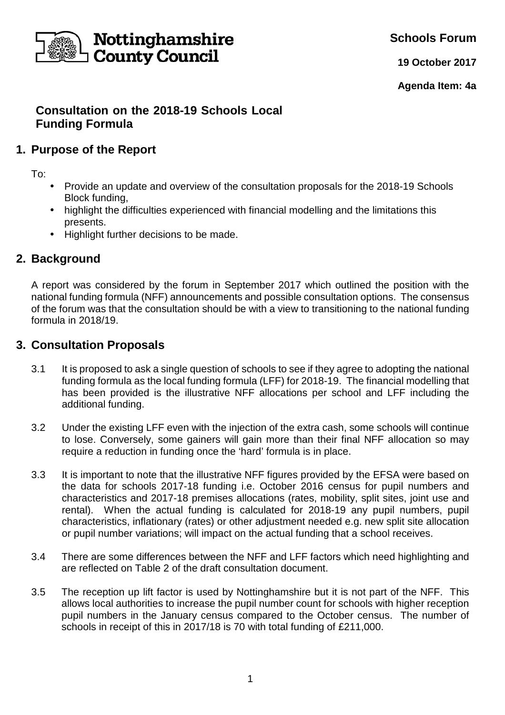

**Schools Forum**

**19 October 2017**

**Agenda Item: 4a**

# **Consultation on the 2018-19 Schools Local Funding Formula**

## **1. Purpose of the Report**

To:

- Provide an update and overview of the consultation proposals for the 2018-19 Schools Block funding,
- highlight the difficulties experienced with financial modelling and the limitations this presents.
- Highlight further decisions to be made.

# **2. Background**

A report was considered by the forum in September 2017 which outlined the position with the national funding formula (NFF) announcements and possible consultation options. The consensus of the forum was that the consultation should be with a view to transitioning to the national funding formula in 2018/19.

### **3. Consultation Proposals**

- 3.1 It is proposed to ask a single question of schools to see if they agree to adopting the national funding formula as the local funding formula (LFF) for 2018-19. The financial modelling that has been provided is the illustrative NFF allocations per school and LFF including the additional funding.
- 3.2 Under the existing LFF even with the injection of the extra cash, some schools will continue to lose. Conversely, some gainers will gain more than their final NFF allocation so may require a reduction in funding once the 'hard' formula is in place.
- 3.3 It is important to note that the illustrative NFF figures provided by the EFSA were based on the data for schools 2017-18 funding i.e. October 2016 census for pupil numbers and characteristics and 2017-18 premises allocations (rates, mobility, split sites, joint use and rental). When the actual funding is calculated for 2018-19 any pupil numbers, pupil characteristics, inflationary (rates) or other adjustment needed e.g. new split site allocation or pupil number variations; will impact on the actual funding that a school receives.
- 3.4 There are some differences between the NFF and LFF factors which need highlighting and are reflected on Table 2 of the draft consultation document.
- 3.5 The reception up lift factor is used by Nottinghamshire but it is not part of the NFF. This allows local authorities to increase the pupil number count for schools with higher reception pupil numbers in the January census compared to the October census. The number of schools in receipt of this in 2017/18 is 70 with total funding of £211,000.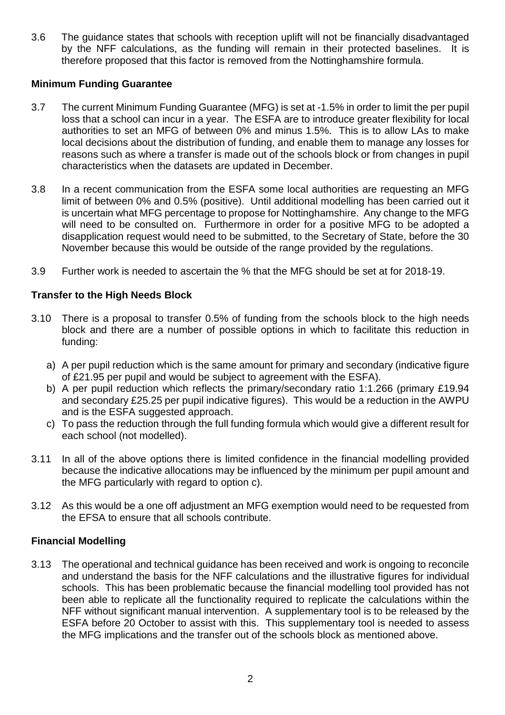3.6 The guidance states that schools with reception uplift will not be financially disadvantaged by the NFF calculations, as the funding will remain in their protected baselines. It is therefore proposed that this factor is removed from the Nottinghamshire formula.

### **Minimum Funding Guarantee**

- 3.7 The current Minimum Funding Guarantee (MFG) is set at -1.5% in order to limit the per pupil loss that a school can incur in a year. The ESFA are to introduce greater flexibility for local authorities to set an MFG of between 0% and minus 1.5%. This is to allow LAs to make local decisions about the distribution of funding, and enable them to manage any losses for reasons such as where a transfer is made out of the schools block or from changes in pupil characteristics when the datasets are updated in December.
- 3.8 In a recent communication from the ESFA some local authorities are requesting an MFG limit of between 0% and 0.5% (positive). Until additional modelling has been carried out it is uncertain what MFG percentage to propose for Nottinghamshire. Any change to the MFG will need to be consulted on. Furthermore in order for a positive MFG to be adopted a disapplication request would need to be submitted, to the Secretary of State, before the 30 November because this would be outside of the range provided by the regulations.
- 3.9 Further work is needed to ascertain the % that the MFG should be set at for 2018-19.

### **Transfer to the High Needs Block**

- 3.10 There is a proposal to transfer 0.5% of funding from the schools block to the high needs block and there are a number of possible options in which to facilitate this reduction in funding:
	- a) A per pupil reduction which is the same amount for primary and secondary (indicative figure of £21.95 per pupil and would be subject to agreement with the ESFA).
	- b) A per pupil reduction which reflects the primary/secondary ratio 1:1.266 (primary £19.94 and secondary £25.25 per pupil indicative figures). This would be a reduction in the AWPU and is the ESFA suggested approach.
	- c) To pass the reduction through the full funding formula which would give a different result for each school (not modelled).
- 3.11 In all of the above options there is limited confidence in the financial modelling provided because the indicative allocations may be influenced by the minimum per pupil amount and the MFG particularly with regard to option c).
- 3.12 As this would be a one off adjustment an MFG exemption would need to be requested from the EFSA to ensure that all schools contribute.

#### **Financial Modelling**

3.13 The operational and technical guidance has been received and work is ongoing to reconcile and understand the basis for the NFF calculations and the illustrative figures for individual schools. This has been problematic because the financial modelling tool provided has not been able to replicate all the functionality required to replicate the calculations within the NFF without significant manual intervention. A supplementary tool is to be released by the ESFA before 20 October to assist with this. This supplementary tool is needed to assess the MFG implications and the transfer out of the schools block as mentioned above.